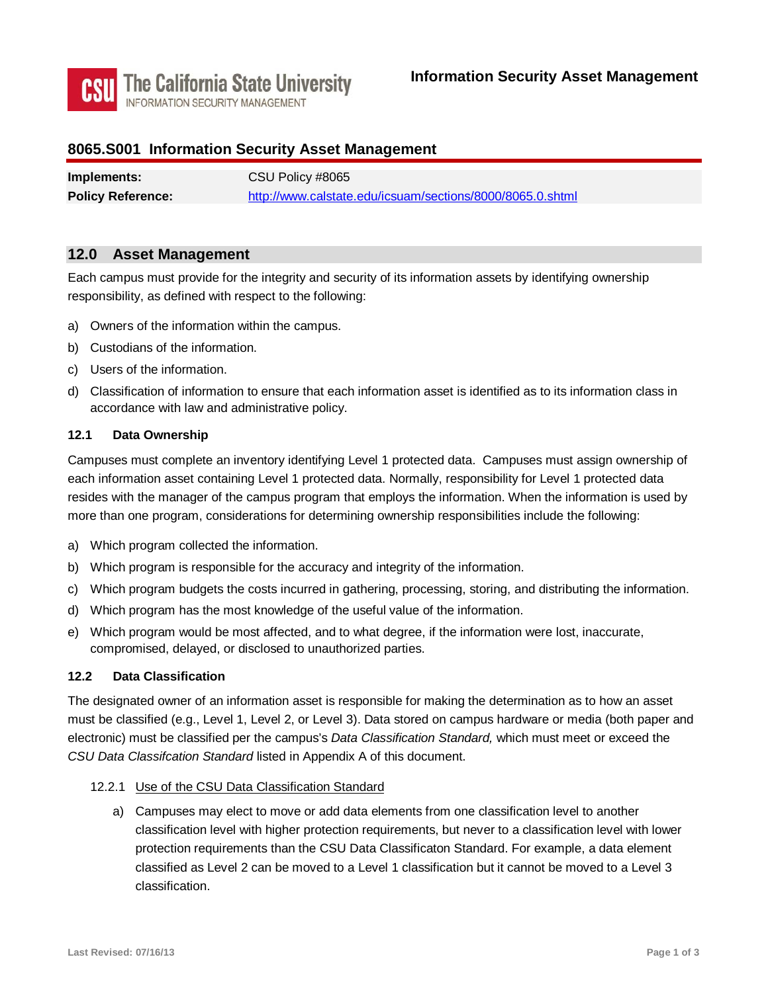

# **8065.S001 Information Security Asset Management**

| Implements:              | CSU Policy #8065                                          |
|--------------------------|-----------------------------------------------------------|
| <b>Policy Reference:</b> | http://www.calstate.edu/icsuam/sections/8000/8065.0.shtml |

## **12.0 Asset Management**

 Each campus must provide for the integrity and security of its information assets by identifying ownership responsibility, as defined with respect to the following:

- a) Owners of the information within the campus.
- b) Custodians of the information.
- c) Users of the information.
- d) Classification of information to ensure that each information asset is identified as to its information class in accordance with law and administrative policy.

## **12.1 Data Ownership**

 each information asset containing Level 1 protected data. Normally, responsibility for Level 1 protected data resides with the manager of the campus program that employs the information. When the information is used by Campuses must complete an inventory identifying Level 1 protected data. Campuses must assign ownership of more than one program, considerations for determining ownership responsibilities include the following:

- a) Which program collected the information.
- b) Which program is responsible for the accuracy and integrity of the information.
- c) Which program budgets the costs incurred in gathering, processing, storing, and distributing the information.
- d) Which program has the most knowledge of the useful value of the information.
- e) Which program would be most affected, and to what degree, if the information were lost, inaccurate, compromised, delayed, or disclosed to unauthorized parties.

#### **12.2 Data Classification**

 electronic) must be classified per the campus's *Data Classification Standard,* which must meet or exceed the *CSU Data Classifcation Standard* listed in Appendix A of this document. The designated owner of an information asset is responsible for making the determination as to how an asset must be classified (e.g., Level 1, Level 2, or Level 3). Data stored on campus hardware or media (both paper and

- 12.2.1 Use of the CSU Data Classification Standard
	- classification level with higher protection requirements, but never to a classification level with lower classified as Level 2 can be moved to a Level 1 classification but it cannot be moved to a Level 3 a) Campuses may elect to move or add data elements from one classification level to another protection requirements than the CSU Data Classificaton Standard. For example, a data element classification.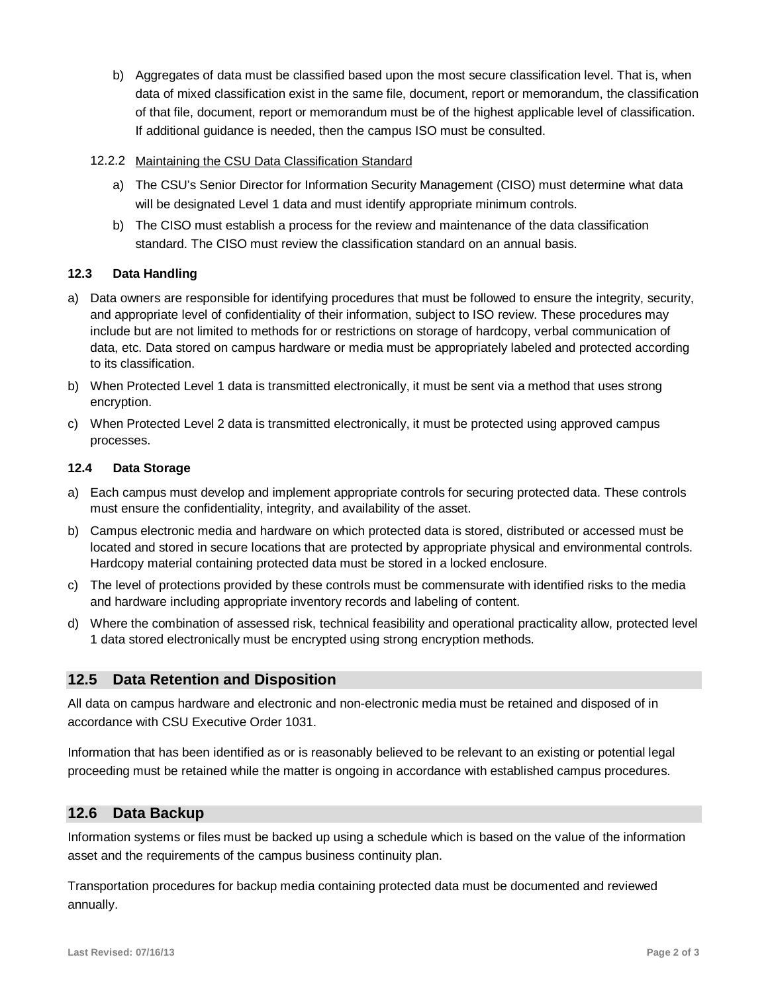b) Aggregates of data must be classified based upon the most secure classification level. That is, when data of mixed classification exist in the same file, document, report or memorandum, the classification of that file, document, report or memorandum must be of the highest applicable level of classification. If additional guidance is needed, then the campus ISO must be consulted.

## 12.2.2 Maintaining the CSU Data Classification Standard

- a) The CSU's Senior Director for Information Security Management (CISO) must determine what data will be designated Level 1 data and must identify appropriate minimum controls.
- b) The CISO must establish a process for the review and maintenance of the data classification standard. The CISO must review the classification standard on an annual basis.

## **12.3 Data Handling**

- to its classification. a) Data owners are responsible for identifying procedures that must be followed to ensure the integrity, security, and appropriate level of confidentiality of their information, subject to ISO review. These procedures may include but are not limited to methods for or restrictions on storage of hardcopy, verbal communication of data, etc. Data stored on campus hardware or media must be appropriately labeled and protected according
- to its classification.<br>b) When Protected Level 1 data is transmitted electronically, it must be sent via a method that uses strong encryption.
- c) When Protected Level 2 data is transmitted electronically, it must be protected using approved campus processes.

## **12.4 Data Storage**

- must ensure the confidentiality, integrity, and availability of the asset. a) Each campus must develop and implement appropriate controls for securing protected data. These controls
- b) Campus electronic media and hardware on which protected data is stored, distributed or accessed must be located and stored in secure locations that are protected by appropriate physical and environmental controls. Hardcopy material containing protected data must be stored in a locked enclosure.
- and hardware including appropriate inventory records and labeling of content. c) The level of protections provided by these controls must be commensurate with identified risks to the media
- d) Where the combination of assessed risk, technical feasibility and operational practicality allow, protected level 1 data stored electronically must be encrypted using strong encryption methods.

## **12.5 Data Retention and Disposition**

 All data on campus hardware and electronic and non-electronic media must be retained and disposed of in accordance with CSU Executive Order 1031.

Information that has been identified as or is reasonably believed to be relevant to an existing or potential legal proceeding must be retained while the matter is ongoing in accordance with established campus procedures.

## **12.6 Data Backup**

 Information systems or files must be backed up using a schedule which is based on the value of the information asset and the requirements of the campus business continuity plan.

Transportation procedures for backup media containing protected data must be documented and reviewed annually.